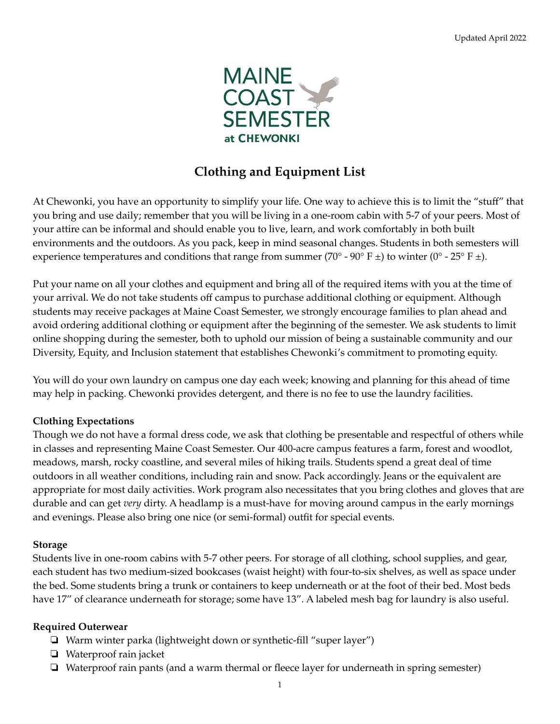

# **Clothing and Equipment List**

At Chewonki, you have an opportunity to simplify your life. One way to achieve this is to limit the "stuff" that you bring and use daily; remember that you will be living in a one-room cabin with 5-7 of your peers. Most of your attire can be informal and should enable you to live, learn, and work comfortably in both built environments and the outdoors. As you pack, keep in mind seasonal changes. Students in both semesters will experience temperatures and conditions that range from summer (70° - 90° F  $\pm$ ) to winter (0° - 25° F  $\pm$ ).

Put your name on all your clothes and equipment and bring all of the required items with you at the time of your arrival. We do not take students off campus to purchase additional clothing or equipment. Although students may receive packages at Maine Coast Semester, we strongly encourage families to plan ahead and avoid ordering additional clothing or equipment after the beginning of the semester. We ask students to limit online shopping during the semester, both to uphold our mission of being a sustainable community and our Diversity, Equity, and Inclusion statement that establishes Chewonki's commitment to promoting equity.

You will do your own laundry on campus one day each week; knowing and planning for this ahead of time may help in packing. Chewonki provides detergent, and there is no fee to use the laundry facilities.

#### **Clothing Expectations**

Though we do not have a formal dress code, we ask that clothing be presentable and respectful of others while in classes and representing Maine Coast Semester. Our 400-acre campus features a farm, forest and woodlot, meadows, marsh, rocky coastline, and several miles of hiking trails. Students spend a great deal of time outdoors in all weather conditions, including rain and snow. Pack accordingly. Jeans or the equivalent are appropriate for most daily activities. Work program also necessitates that you bring clothes and gloves that are durable and can get *very* dirty. A headlamp is a must-have for moving around campus in the early mornings and evenings. Please also bring one nice (or semi-formal) outfit for special events.

#### **Storage**

Students live in one-room cabins with 5-7 other peers. For storage of all clothing, school supplies, and gear, each student has two medium-sized bookcases (waist height) with four-to-six shelves, as well as space under the bed. Some students bring a trunk or containers to keep underneath or at the foot of their bed. Most beds have 17" of clearance underneath for storage; some have 13". A labeled mesh bag for laundry is also useful.

#### **Required Outerwear**

- ❏ Warm winter parka (lightweight down or synthetic-fill "super layer")
- ❏ Waterproof rain jacket
- ❏ Waterproof rain pants (and a warm thermal or fleece layer for underneath in spring semester)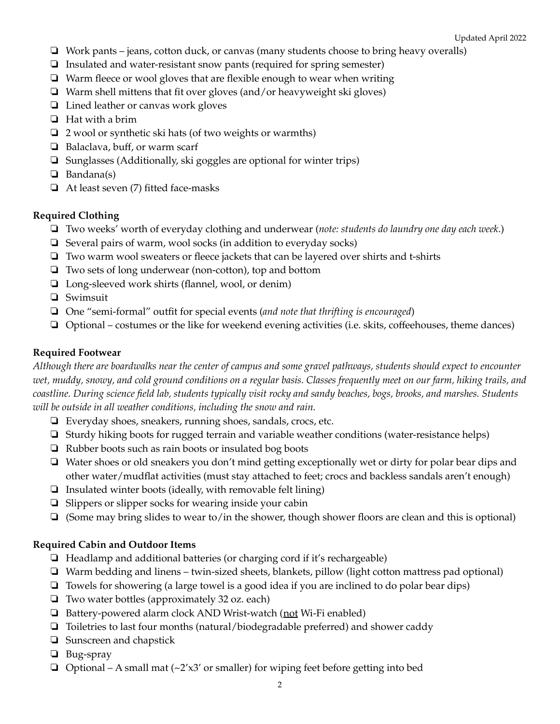- ❏ Work pants jeans, cotton duck, or canvas (many students choose to bring heavy overalls)
- ❏ Insulated and water-resistant snow pants (required for spring semester)
- ❏ Warm fleece or wool gloves that are flexible enough to wear when writing
- ❏ Warm shell mittens that fit over gloves (and/or heavyweight ski gloves)
- ❏ Lined leather or canvas work gloves
- ❏ Hat with a brim
- ❏ 2 wool or synthetic ski hats (of two weights or warmths)
- ❏ Balaclava, buff, or warm scarf
- ❏ Sunglasses (Additionally, ski goggles are optional for winter trips)
- ❏ Bandana(s)
- ❏ At least seven (7) fitted face-masks

## **Required Clothing**

- ❏ Two weeks' worth of everyday clothing and underwear (*note: students do laundry one day each week*.)
- ❏ Several pairs of warm, wool socks (in addition to everyday socks)
- ❏ Two warm wool sweaters or fleece jackets that can be layered over shirts and t-shirts
- ❏ Two sets of long underwear (non-cotton), top and bottom
- ❏ Long-sleeved work shirts (flannel, wool, or denim)
- ❏ Swimsuit
- ❏ One "semi-formal" outfit for special events (*and note that thrifting is encouraged*)
- ❏ Optional costumes or the like for weekend evening activities (i.e. skits, coffeehouses, theme dances)

## **Required Footwear**

Although there are boardwalks near the center of campus and some gravel pathways, students should expect to encounter wet, muddy, snowy, and cold ground conditions on a regular basis. Classes frequently meet on our farm, hiking trails, and coastline. During science field lab, students typically visit rocky and sandy beaches, bogs, brooks, and marshes. Students *will be outside in all weather conditions, including the snow and rain.*

- ❏ Everyday shoes, sneakers, running shoes, sandals, crocs, etc.
- ❏ Sturdy hiking boots for rugged terrain and variable weather conditions (water-resistance helps)
- ❏ Rubber boots such as rain boots or insulated bog boots
- ❏ Water shoes or old sneakers you don't mind getting exceptionally wet or dirty for polar bear dips and other water/mudflat activities (must stay attached to feet; crocs and backless sandals aren't enough)
- ❏ Insulated winter boots (ideally, with removable felt lining)
- ❏ Slippers or slipper socks for wearing inside your cabin
- ❏ (Some may bring slides to wear to/in the shower, though shower floors are clean and this is optional)

# **Required Cabin and Outdoor Items**

- ❏ Headlamp and additional batteries (or charging cord if it's rechargeable)
- ❏ Warm bedding and linens twin-sized sheets, blankets, pillow (light cotton mattress pad optional)
- ❏ Towels for showering (a large towel is a good idea if you are inclined to do polar bear dips)
- ❏ Two water bottles (approximately 32 oz. each)
- ❏ Battery-powered alarm clock AND Wrist-watch (not Wi-Fi enabled)
- ❏ Toiletries to last four months (natural/biodegradable preferred) and shower caddy
- ❏ Sunscreen and chapstick
- ❏ Bug-spray
- $\Box$  Optional A small mat (~2'x3' or smaller) for wiping feet before getting into bed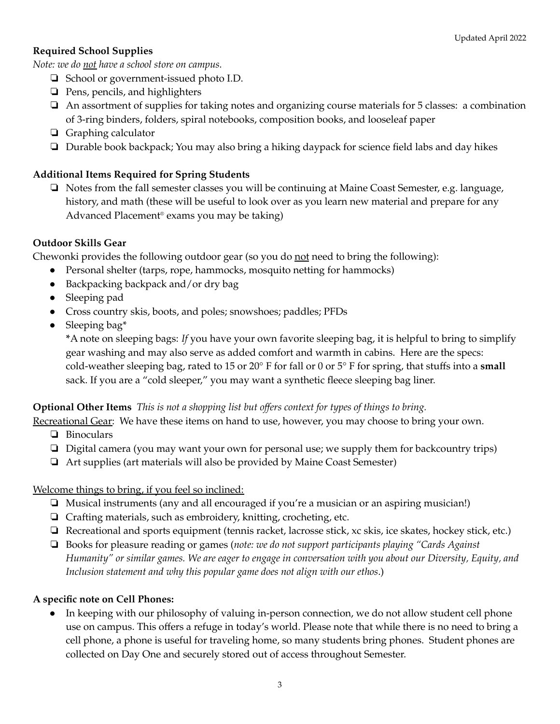# **Required School Supplies**

*Note: we do not have a school store on campus.*

- ❏ School or government-issued photo I.D.
- ❏ Pens, pencils, and highlighters
- ❏ An assortment of supplies for taking notes and organizing course materials for 5 classes: a combination of 3-ring binders, folders, spiral notebooks, composition books, and looseleaf paper
- ❏ Graphing calculator
- ❏ Durable book backpack; You may also bring a hiking daypack for science field labs and day hikes

## **Additional Items Required for Spring Students**

❏ Notes from the fall semester classes you will be continuing at Maine Coast Semester, e.g. language, history, and math (these will be useful to look over as you learn new material and prepare for any Advanced Placement ® exams you may be taking)

#### **Outdoor Skills Gear**

Chewonki provides the following outdoor gear (so you do  $\underline{not}$  need to bring the following):

- Personal shelter (tarps, rope, hammocks, mosquito netting for hammocks)
- Backpacking backpack and/or dry bag
- Sleeping pad
- Cross country skis, boots, and poles; snowshoes; paddles; PFDs
- Sleeping bag\*

**\***A note on sleeping bags: *If* you have your own favorite sleeping bag, it is helpful to bring to simplify gear washing and may also serve as added comfort and warmth in cabins. Here are the specs: cold-weather sleeping bag, rated to 15 or 20° F for fall or 0 or 5° F for spring, that stuffs into a **small** sack. If you are a "cold sleeper," you may want a synthetic fleece sleeping bag liner.

#### **Optional Other Items** *This is not a shopping list but offers context for types of things to bring.*

Recreational Gear: We have these items on hand to use, however, you may choose to bring your own.

- ❏ Binoculars
- ❏ Digital camera (you may want your own for personal use; we supply them for backcountry trips)
- ❏ Art supplies (art materials will also be provided by Maine Coast Semester)

#### Welcome things to bring, if you feel so inclined:

- ❏ Musical instruments (any and all encouraged if you're a musician or an aspiring musician!)
- ❏ Crafting materials, such as embroidery, knitting, crocheting, etc.
- ❏ Recreational and sports equipment (tennis racket, lacrosse stick, xc skis, ice skates, hockey stick, etc.)
- ❏ Books for pleasure reading or games (*note: we do not support participants playing "Cards Against* Humanity" or similar games. We are eager to engage in conversation with you about our Diversity, Equity, and *Inclusion statement and why this popular game does not align with our ethos*.)

#### **A specific note on Cell Phones:**

● In keeping with our philosophy of valuing in-person connection, we do not allow student cell phone use on campus. This offers a refuge in today's world. Please note that while there is no need to bring a cell phone, a phone is useful for traveling home, so many students bring phones. Student phones are collected on Day One and securely stored out of access throughout Semester.